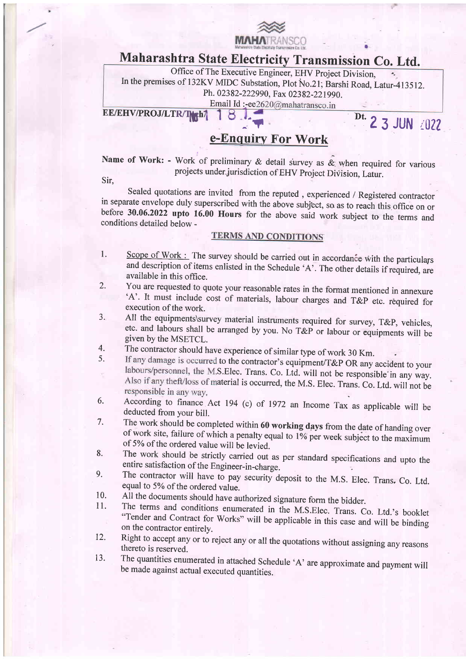

# Maharashtra state Electricity Transmission co. Ltd.

Office of The Executive Engineer, EHV project Division,  $\overline{\mathbf{z}_i}$ In the premises of 132KV MIDC Substation, Plot No.21; Barshi Road, Latur-413512. Ph. 02382-222990, Fax 02382-221990. Email Id:-ee2620@mahatransco.in

EE/EHV/PROJ/LTR/TGh/

8 JUN 23 JUN 2022

a

## e-Enquiry For Work

Name of Work: - Work of preliminary & detail survey as  $\&$  when required for various projects under jurisdiction of EHV project Division, Latur.

Sir,

Sealed quotations are invited from the reputed, experienced / Registered contractor<br>in separate envelope duly superscribed with the above subject, so as to reach this office on or<br>before 30.06.2022 upto 16.00 Hours for the

#### **TERMS AND CONDITIONS**

- 1. Scope of Work : The survey should be carried out in accordance with the particulars and description of items enlisted in the Schedule 'A'. The other details if required, are available in this office.
- 2. You are requested to quote your reasonable rates in the format mentioned in annexure  $A'$ . It must include cost of materials, labour charges and  $T\&P$  etc. required for
- execution of the work.<br>All the equipments survey material instruments required for survey, T&P, vehicles, 3. All the equipments\survey material instruments required for survey, T&P, vehicles, etc. and labours shall be arranged by you. No T&P or labour or equipments will be given by the MSETCL.
- The contractor should have experience of similar type of work 30 Km. 4.
- If any damage is occurred to the contractor's equipment/T&P OR any accident to your 5. labours/personnel, the M.S.Elec. Trans. Co. Ltd. will not be responsible in any way. ċ Also if any theft/loss of material is occurred, the M.S. Elec. Trans. Co. Ltd. will not be responsible in any way.
- According to finance Act 194 (c) of 1972 an Income Tax as applicable will be deducted from your bill.<br>The work should be completed within 60 working days from the date of handing over 6.
- of work site, failure of which a penalty equal to 1% per week subject to the maximum of 5% of the ordered value will be levied. 7.
- The work should be strictly carried out as per standard specifications and upto the entire satisfaction of the Engineer-in-charge. 8.
- The contractor will have to pay security deposit to the M.S. Elec. Trans, Co. Ltd. equal to 5% of the ordered value.<br>All the documents should have authorized signature form the bidder. 9.
- 10.
- The terms and conditions enumerated in the M.S.Elec. Trans. Co. Ltd.'s booklet "Tender and Contract for Works" will be applicable in this case and will be binding on the contractor entirely. 11.
- Right to accept any or to reject any or all the quotations without assigning any reasons thereto is reserved. 12.
- The quantities enumerated in attached Schedule 'A' are approximate and payment will be made against actual executed quantities. 13.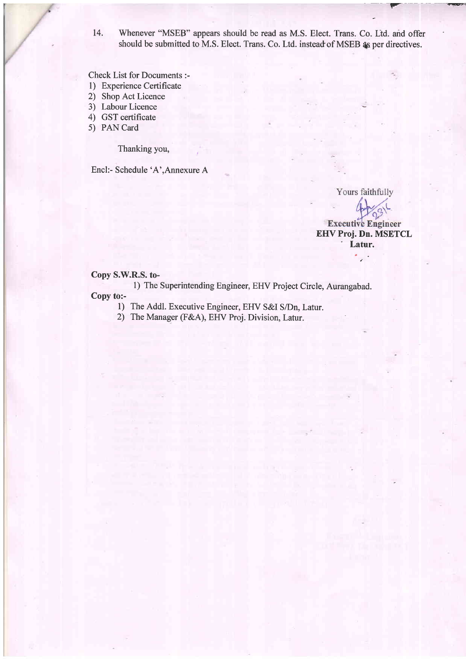14. Whenever "MSEB" appears should be read as M.S. Elect. Trans. Co. Ltd. and offer should be submitted to M.S. Elect. Trans. Co. Ltd. instead of MSEB as per directives.

Check List for Documents :-

- l) Experience Certificate
- 2) Shop Act Licence
- 3) Labour Licence
- 4) GST certificate
- 5) PAN Card

Thanking you, ;

Encl:- Schedule 'A',Annexure A

Yours faithfully  $\gamma^2$ **Executive Engineer** EHV Proj. Dn. MSETCL ' Latur.

 $\ddot{\phantom{a}}$ 

#### Copy S.W.R.S. to-

1) The Superintending Engineer, EHV Project Circle, Aurangabad. Copy to:-

- - 1) The Addl. Executive Engineer, EHV S&I S/Dn, Latur.
	- 2) The Manager (F&A), EHV Proj. Division, Latur.